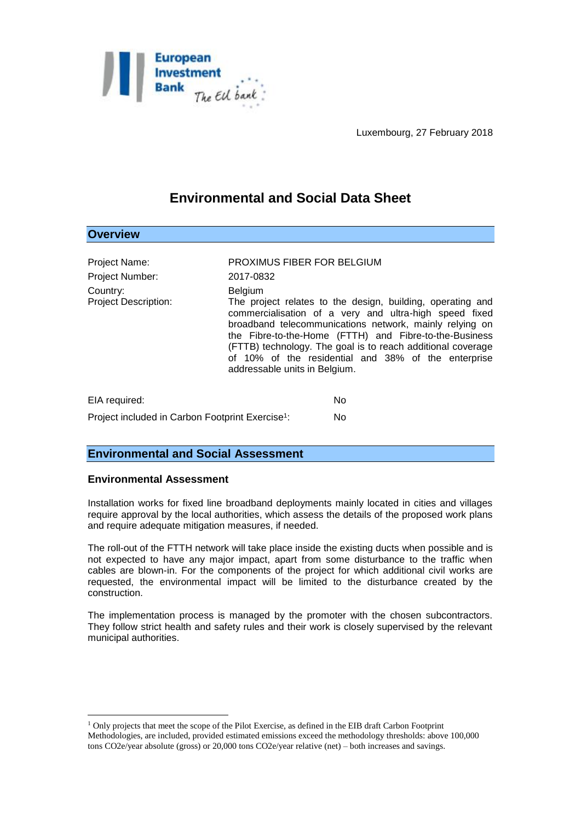

Luxembourg, 27 February 2018

# **Environmental and Social Data Sheet**

## **Overview** Project Name: PROXIMUS FIBER FOR BELGIUM Project Number: 2017-0832 Country: Belgium Project Description: The project relates to the design, building, operating and commercialisation of a very and ultra-high speed fixed broadband telecommunications network, mainly relying on the Fibre-to-the-Home (FTTH) and Fibre-to-the-Business (FTTB) technology. The goal is to reach additional coverage of 10% of the residential and 38% of the enterprise addressable units in Belgium.

| EIA required:                                                | N٥  |
|--------------------------------------------------------------|-----|
| Project included in Carbon Footprint Exercise <sup>1</sup> : | No. |

### **Environmental and Social Assessment**

#### **Environmental Assessment**

1

Installation works for fixed line broadband deployments mainly located in cities and villages require approval by the local authorities, which assess the details of the proposed work plans and require adequate mitigation measures, if needed.

The roll-out of the FTTH network will take place inside the existing ducts when possible and is not expected to have any major impact, apart from some disturbance to the traffic when cables are blown-in. For the components of the project for which additional civil works are requested, the environmental impact will be limited to the disturbance created by the construction.

The implementation process is managed by the promoter with the chosen subcontractors. They follow strict health and safety rules and their work is closely supervised by the relevant municipal authorities.

<sup>1</sup> Only projects that meet the scope of the Pilot Exercise, as defined in the EIB draft Carbon Footprint Methodologies, are included, provided estimated emissions exceed the methodology thresholds: above 100,000 tons CO2e/year absolute (gross) or 20,000 tons CO2e/year relative (net) – both increases and savings.